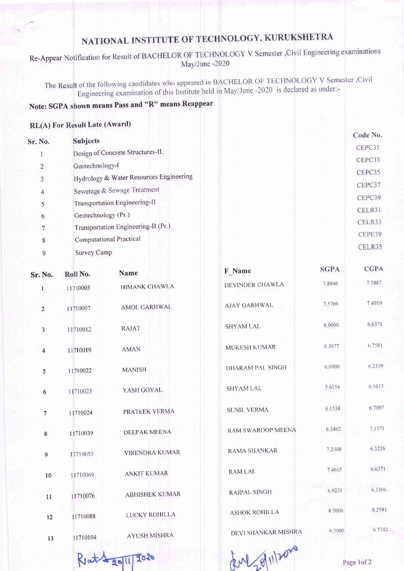## NATIONAL INSTITUTE OF TECHNOLOGY, KURUKSHETRA

Re-Appear Notification for Result of BACHELOR OF TECHNOLOGY V Semester , Civil Engineering examinations May/June -2020

The Result of the following candidates who appeared in BACHELOR OF TECHNOLOGY V Semester ,Civil<br>1990, is deelared as under-Engineering examination of this Institute held in May/June -2020 is declared as under:-

## Note: SGPA shown means Pass and "R" means Reappear

## RL(A) For Result Late (Award)

| Sr. No.        | <b>Subjects</b>                         | Code No. |
|----------------|-----------------------------------------|----------|
|                | Design of Concrete Structures-II.       | CEPC31   |
| $\overline{c}$ | Geotechnology-1                         | CEPC33   |
| $\overline{3}$ | Hydrology & Water Resources Engineering | CEPC35   |
| $\overline{4}$ | Sewerage & Sewage Treatment             | CEPC37   |
| 5              | Transportation Engineering-II           | CEPC39   |
| 6              | Geotechnology (Pr.)                     | CELR31   |
| $\overline{7}$ | Transportation Engineering-II (Pr.)     | CELR33   |
| 8              | Computational Practical                 | CEPE39   |
| 9              | Survey Camp                             | CELR35   |
|                |                                         |          |

| Sr. No.                 | Roll No. | <b>Name</b>           | F_Name                   | <b>SGPA</b> | <b>CGPA</b> |
|-------------------------|----------|-----------------------|--------------------------|-------------|-------------|
| $\mathbf{1}$            | 11710003 | <b>HIMANK CHAWLA</b>  | DEVINDER CHAWLA          | 7.8846      | 7.5887      |
| $\overline{2}$          | 11710007 | <b>AMOL GARHWAL</b>   | <b>AJAY GARHWAL</b>      | 7.5769      | 7.4919      |
| $\overline{\mathbf{3}}$ | 11710012 | <b>RAJAT</b>          | <b>SHYAM LAL</b>         | 6.0000      | 6.6371      |
| $\overline{4}$          | 11710019 | <b>AMAN</b>           | MUKESH KUMAR             | 6.3077      | 6,7581      |
| 5                       | 11710022 | <b>MANISH</b>         | <b>DHARAM PAL SINGH</b>  | 6.0000      | 6.2339      |
| $\boldsymbol{6}$        | 11710023 | YASH GOYAL            | <b>SHYAM LAL</b>         | 5.6154      | 6.1613      |
| $\overline{7}$          | 11710024 | PRATEEK VERMA         | <b>SUNIL VERMA</b>       | 6.1538      | 6.7097      |
| 8                       | 11710039 | <b>DEEPAK MEENA</b>   | <b>RAM SWAROOP MEENA</b> | 6 3 4 6 2   | 7.1371      |
| 9                       | 11710055 | <b>VIRENDRA KUMAR</b> | RAMA SHANKAR             | 7.2308      | 6.3226      |
| 10                      | 11710069 | <b>ANKIT KUMAR</b>    | <b>RAMLAL</b>            | 7.4615      | 6.6371      |
| 11                      | 11710076 | <b>ABHISHEK KUMAR</b> | RAJPAL SINGH             | 6.9231      | 6.3306      |
| 12                      | 11710088 | LUCKY ROHILLA         | <b>ASHOK ROHILLA</b>     | 8.5000      | 8.2581      |
| 13                      | 11710104 | <b>AYUSH MISHRA</b>   | DEVI SHANKAR MISHRA      | 6,5000      | 6.7742      |
|                         |          | 2020<br><b>2011</b>   | RM 20/11/2020            |             | Page 1of 2  |
|                         |          |                       |                          |             |             |

Reta 2011/2020

Page lof2